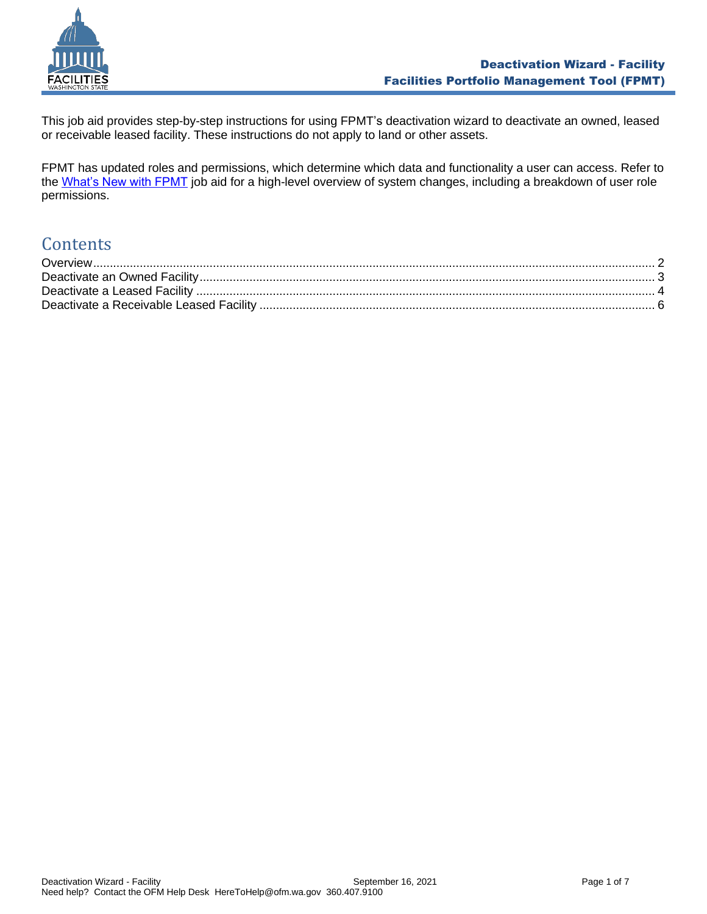

This job aid provides step-by-step instructions for using FPMT's deactivation wizard to deactivate an owned, leased or receivable leased facility. These instructions do not apply to land or other assets.

FPMT has updated roles and permissions, which determine which data and functionality a user can access. Refer to the [What's New with FPMT](https://ofm.wa.gov/sites/default/files/public/itsystems/FPMT/What%27s%20New%20with%20FPMT.pdf) job aid for a high-level overview of system changes, including a breakdown of user role permissions.

# **Contents**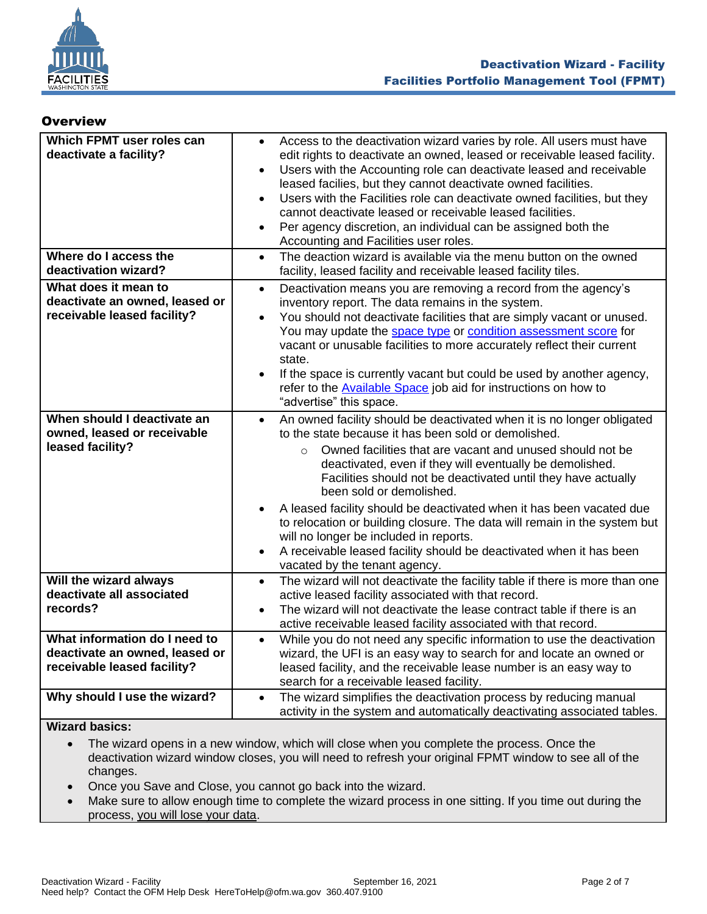

### <span id="page-1-0"></span>**Overview**

| Which FPMT user roles can<br>deactivate a facility?                                            | Access to the deactivation wizard varies by role. All users must have<br>$\bullet$<br>edit rights to deactivate an owned, leased or receivable leased facility.<br>Users with the Accounting role can deactivate leased and receivable<br>$\bullet$<br>leased facilies, but they cannot deactivate owned facilities.<br>Users with the Facilities role can deactivate owned facilities, but they<br>$\bullet$<br>cannot deactivate leased or receivable leased facilities.                                                                                                                                                                                                                                     |
|------------------------------------------------------------------------------------------------|----------------------------------------------------------------------------------------------------------------------------------------------------------------------------------------------------------------------------------------------------------------------------------------------------------------------------------------------------------------------------------------------------------------------------------------------------------------------------------------------------------------------------------------------------------------------------------------------------------------------------------------------------------------------------------------------------------------|
|                                                                                                | Per agency discretion, an individual can be assigned both the<br>$\bullet$<br>Accounting and Facilities user roles.                                                                                                                                                                                                                                                                                                                                                                                                                                                                                                                                                                                            |
| Where do I access the<br>deactivation wizard?                                                  | The deaction wizard is available via the menu button on the owned<br>$\bullet$<br>facility, leased facility and receivable leased facility tiles.                                                                                                                                                                                                                                                                                                                                                                                                                                                                                                                                                              |
| What does it mean to<br>deactivate an owned, leased or<br>receivable leased facility?          | Deactivation means you are removing a record from the agency's<br>$\bullet$<br>inventory report. The data remains in the system.<br>You should not deactivate facilities that are simply vacant or unused.<br>$\bullet$<br>You may update the space type or condition assessment score for<br>vacant or unusable facilities to more accurately reflect their current<br>state.<br>If the space is currently vacant but could be used by another agency,<br>$\bullet$<br>refer to the <b>Available Space</b> job aid for instructions on how to<br>"advertise" this space.                                                                                                                                      |
| When should I deactivate an<br>owned, leased or receivable<br>leased facility?                 | An owned facility should be deactivated when it is no longer obligated<br>$\bullet$<br>to the state because it has been sold or demolished.<br>Owned facilities that are vacant and unused should not be<br>$\Omega$<br>deactivated, even if they will eventually be demolished.<br>Facilities should not be deactivated until they have actually<br>been sold or demolished.<br>A leased facility should be deactivated when it has been vacated due<br>$\bullet$<br>to relocation or building closure. The data will remain in the system but<br>will no longer be included in reports.<br>A receivable leased facility should be deactivated when it has been<br>$\bullet$<br>vacated by the tenant agency. |
| Will the wizard always<br>deactivate all associated<br>records?                                | The wizard will not deactivate the facility table if there is more than one<br>$\bullet$<br>active leased facility associated with that record.<br>The wizard will not deactivate the lease contract table if there is an<br>$\bullet$<br>active receivable leased facility associated with that record.                                                                                                                                                                                                                                                                                                                                                                                                       |
| What information do I need to<br>deactivate an owned, leased or<br>receivable leased facility? | While you do not need any specific information to use the deactivation<br>$\bullet$<br>wizard, the UFI is an easy way to search for and locate an owned or<br>leased facility, and the receivable lease number is an easy way to<br>search for a receivable leased facility.                                                                                                                                                                                                                                                                                                                                                                                                                                   |
| Why should I use the wizard?<br>$M! = \sim d$ kanisa.                                          | The wizard simplifies the deactivation process by reducing manual<br>$\bullet$<br>activity in the system and automatically deactivating associated tables.                                                                                                                                                                                                                                                                                                                                                                                                                                                                                                                                                     |

**Wizard basics:**

• The wizard opens in a new window, which will close when you complete the process. Once the deactivation wizard window closes, you will need to refresh your original FPMT window to see all of the changes.

- Once you Save and Close, you cannot go back into the wizard.
- Make sure to allow enough time to complete the wizard process in one sitting. If you time out during the process, you will lose your data.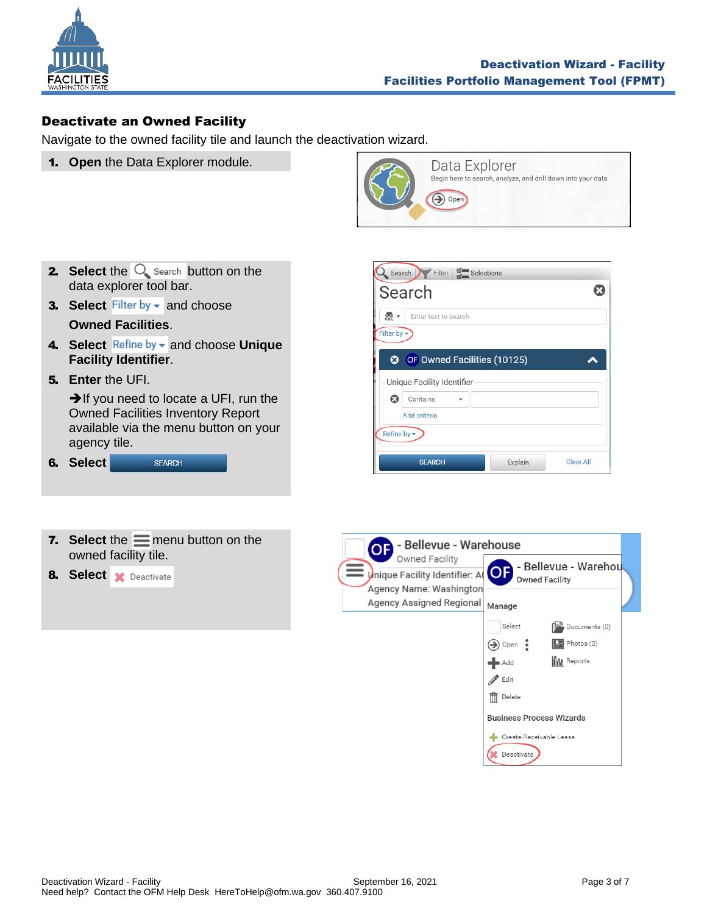

 $\boldsymbol{\Omega}$ 

 $\blacktriangle$ 

Clear All

# <span id="page-2-0"></span>Deactivate an Owned Facility

Navigate to the owned facility tile and launch the deactivation wizard.

1. **Open** the Data Explorer module.







**8.** Select **x** Deactivate

| - Bellevue - Warehouse<br>QF                        |                                 |
|-----------------------------------------------------|---------------------------------|
| Owned Facility                                      | - Bellevue - Warehou            |
| Inique Facility Identifier: A                       | <b>Owned Facility</b>           |
| Agency Name: Washington<br>Agency Assigned Regional | Manage                          |
|                                                     | Select<br>Documents (0)         |
|                                                     | Photos (0)<br>Open              |
|                                                     | <b>III</b> Reports<br>Add       |
|                                                     | Edit                            |
|                                                     | Delete<br>ITTI                  |
|                                                     | <b>Business Process Wizards</b> |
|                                                     | Create Receivable Lease         |
|                                                     | Deactivate                      |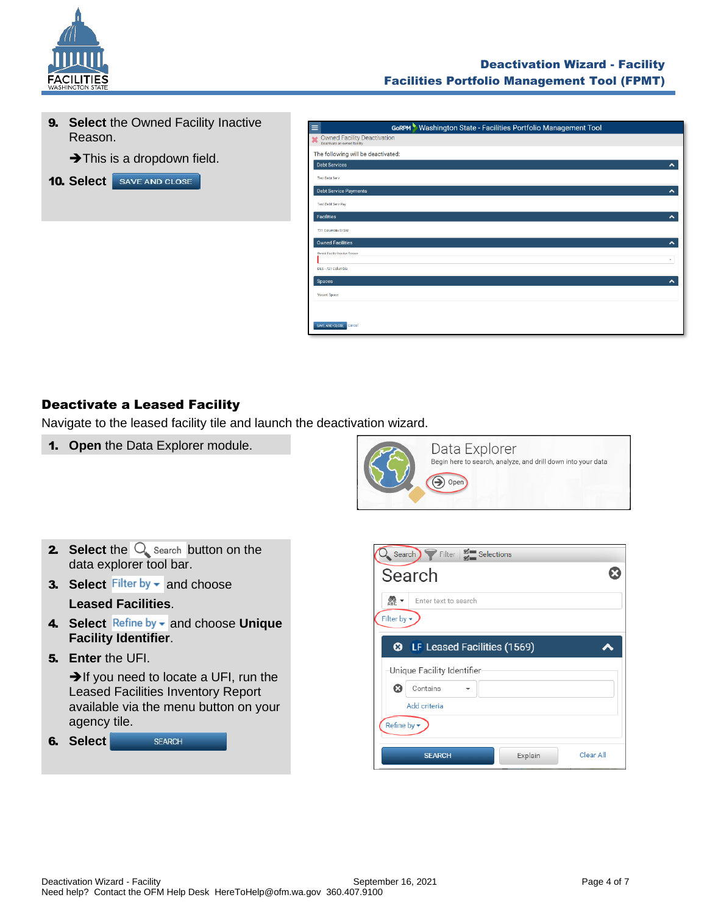

**9. Select** the Owned Facility Inactive Reason.

➔This is a dropdown field.

**10. Select** SAVE AND CLOSE

| $\equiv$                  | <b>GORPM</b> Washington State - Facilities Portfolio Management Tool |
|---------------------------|----------------------------------------------------------------------|
| $\boldsymbol{\mathsf{x}}$ | Owned Facility Deactivation<br>Deactivate an owned facility          |
|                           | The following will be deactivated:                                   |
|                           | <b>Debt Services</b><br>$\hat{\phantom{a}}$                          |
|                           | <b>Test Debt Serv</b>                                                |
|                           | <b>Debt Service Payments</b><br>$\hat{\phantom{a}}$                  |
|                           | <b>Test Debt Serv Pay</b>                                            |
|                           | <b>Facilities</b><br>$\hat{\phantom{a}}$                             |
|                           | 721 Columbia St SW                                                   |
|                           | <b>Owned Facilities</b><br>$\boldsymbol{\mathsf{A}}$                 |
|                           | Owned Facility Inactive Reason<br>٠                                  |
|                           | DES-721 Columbia                                                     |
|                           | <b>Spaces</b><br>ㅅ                                                   |
|                           | Vacant Space                                                         |
|                           |                                                                      |
|                           | SAVE AND CLOSE<br>Cancel                                             |

# <span id="page-3-0"></span>Deactivate a Leased Facility

Navigate to the leased facility tile and launch the deactivation wizard.

1. **Open** the Data Explorer module.



- **2.** Select the  $\overline{Q}$  search button on the data explorer tool bar.
- **3. Select** Filter by  $\bullet$  and choose

**Leased Facilities**.

- 4. Select Refine by and choose Unique **Facility Identifier**.
- 5. **Enter** the UFI.

**→**If you need to locate a UFI, run the Leased Facilities Inventory Report available via the menu button on your agency tile.



| $\Omega$ Search $\bigcap$ Filter $\big \frac{w}{w}\big $ Selections |           |
|---------------------------------------------------------------------|-----------|
| Search                                                              |           |
| ※ -<br>Enter text to search<br>Filter by $\blacktriangledown$       |           |
| <b>3</b> LF Leased Facilities (1569)                                |           |
| Unique Facility Identifier                                          |           |
| ශ<br>Contains                                                       |           |
| Add criteria                                                        |           |
| Refine by $\star$                                                   |           |
| Explain<br><b>SEARCH</b>                                            | Clear All |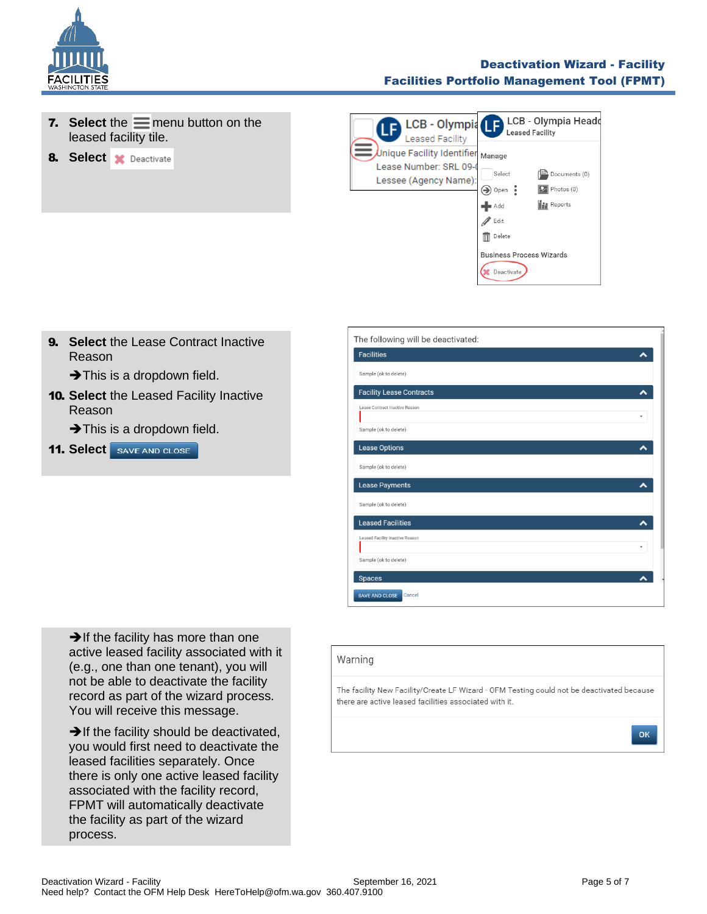

### Deactivation Wizard - Facility Facilities Portfolio Management Tool (FPMT)

- **7.** Select the  $\equiv$  menu button on the leased facility tile.
- **8.** Select **x** Deactivate



**9. Select the Lease Contract Inactive** Reason

 $\rightarrow$  This is a dropdown field.

10. **Select** the Leased Facility Inactive Reason

 $\rightarrow$  This is a dropdown field.

**11. Select** SAVE AND CLOSE

**→If the facility has more than one** active leased facility associated with it (e.g., one than one tenant), you will not be able to deactivate the facility record as part of the wizard process. You will receive this message.

**→**If the facility should be deactivated, you would first need to deactivate the leased facilities separately. Once there is only one active leased facility associated with the facility record, FPMT will automatically deactivate the facility as part of the wizard process.

| <b>Facilities</b>               |   |
|---------------------------------|---|
| Sample (ok to delete)           |   |
| <b>Facility Lease Contracts</b> |   |
| Lease Contract Inactive Reason  |   |
| Sample (ok to delete)           |   |
| <b>Lease Options</b>            |   |
| Sample (ok to delete)           |   |
| <b>Lease Payments</b>           |   |
| Sample (ok to delete)           |   |
| <b>Leased Facilities</b>        |   |
| Leased Facility Inactive Reason | ٠ |
| Sample (ok to delete)           |   |
| <b>Spaces</b>                   |   |

#### Warning

The facility New Facility/Create LF Wizard - OFM Testing could not be deactivated because there are active leased facilities associated with it.

OK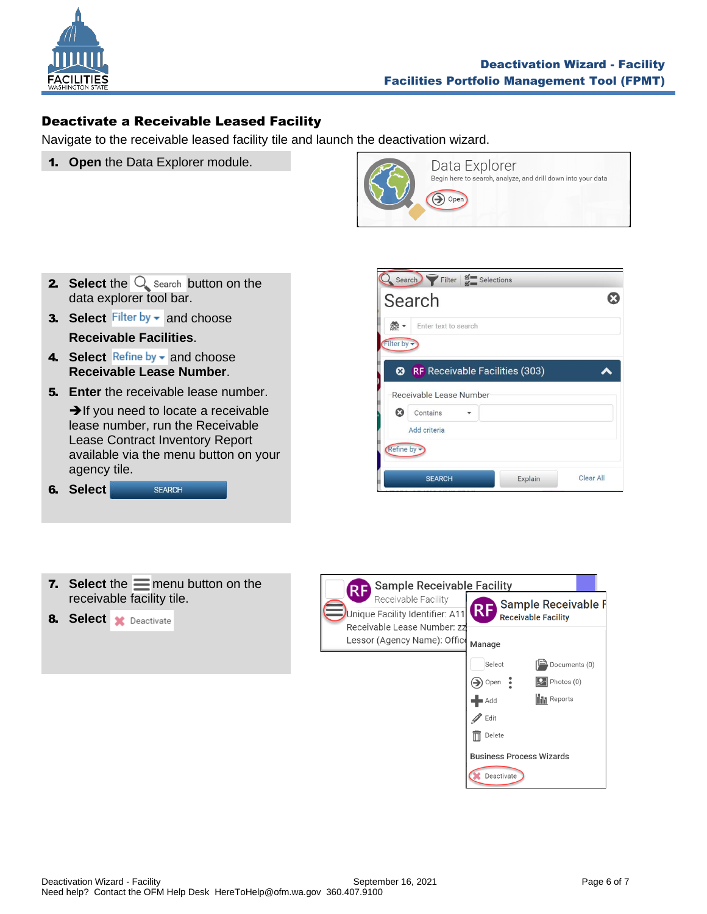

# <span id="page-5-0"></span>Deactivate a Receivable Leased Facility

Navigate to the receivable leased facility tile and launch the deactivation wizard.

1. **Open** the Data Explorer module.



- **2.** Select the  $Q$  search button on the data explorer tool bar.
- 3. Select Filter by **v** and choose

# **Receivable Facilities**.

- 4. Select Refine by v and choose **Receivable Lease Number**.
- **5. Enter** the receivable lease number.

**→**If you need to locate a receivable lease number, run the Receivable Lease Contract Inventory Report available via the menu button on your agency tile.

| 6. | Select | <b>SFARCH</b> |
|----|--------|---------------|
|----|--------|---------------|



| 7. Select the $\equiv$ menu button on the |  |
|-------------------------------------------|--|
| receivable facility tile.                 |  |

**8.** Select **x** Deactivate